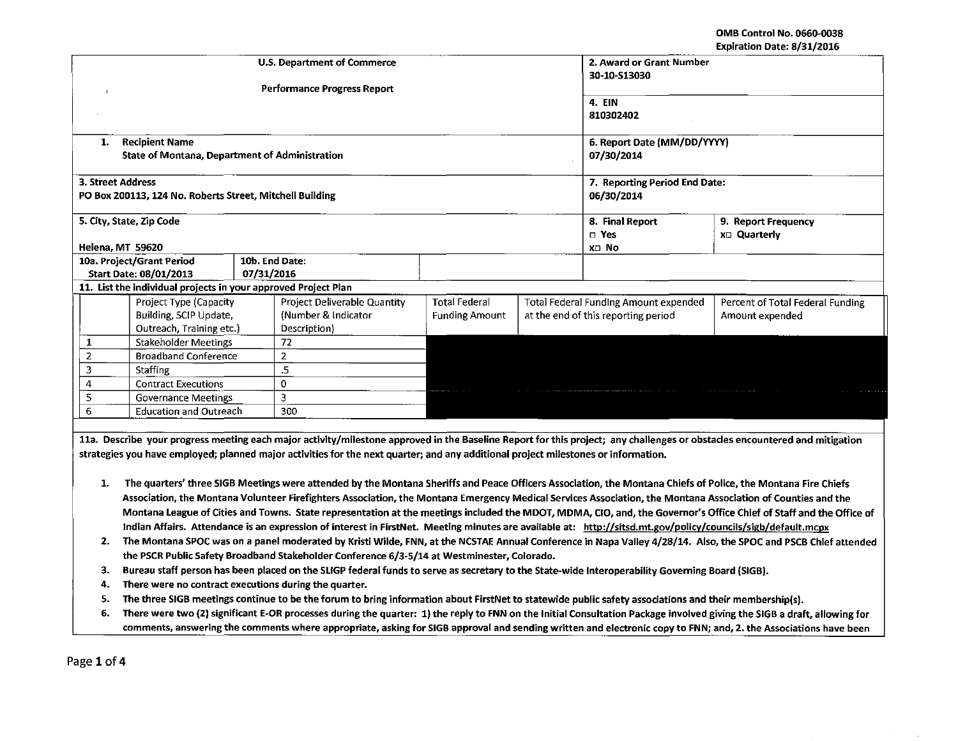OMB Control No. 0660-0038 Expiration Date: 8/31/2016

|                                                                                                                                                                            |                                                                                                                                                                          |                                                                                                                                                               |                       |                                       |                               | LAPII GUUN DALE. 0/JI/4010       |  |  |  |
|----------------------------------------------------------------------------------------------------------------------------------------------------------------------------|--------------------------------------------------------------------------------------------------------------------------------------------------------------------------|---------------------------------------------------------------------------------------------------------------------------------------------------------------|-----------------------|---------------------------------------|-------------------------------|----------------------------------|--|--|--|
|                                                                                                                                                                            | <b>U.S. Department of Commerce</b>                                                                                                                                       |                                                                                                                                                               |                       |                                       |                               | 2. Award or Grant Number         |  |  |  |
|                                                                                                                                                                            |                                                                                                                                                                          |                                                                                                                                                               |                       |                                       |                               | 30-10-513030                     |  |  |  |
|                                                                                                                                                                            | <b>Performance Progress Report</b>                                                                                                                                       |                                                                                                                                                               |                       |                                       |                               |                                  |  |  |  |
|                                                                                                                                                                            |                                                                                                                                                                          |                                                                                                                                                               |                       |                                       | 4. EIN                        |                                  |  |  |  |
|                                                                                                                                                                            |                                                                                                                                                                          |                                                                                                                                                               |                       |                                       | 810302402                     |                                  |  |  |  |
|                                                                                                                                                                            |                                                                                                                                                                          |                                                                                                                                                               |                       |                                       |                               |                                  |  |  |  |
| <b>Recipient Name</b><br>1.                                                                                                                                                |                                                                                                                                                                          |                                                                                                                                                               |                       |                                       | 6. Report Date (MM/DD/YYYY)   |                                  |  |  |  |
| <b>State of Montana, Department of Administration</b>                                                                                                                      |                                                                                                                                                                          |                                                                                                                                                               |                       |                                       | 07/30/2014                    |                                  |  |  |  |
| 3. Street Address                                                                                                                                                          |                                                                                                                                                                          |                                                                                                                                                               |                       |                                       | 7. Reporting Period End Date: |                                  |  |  |  |
| PO Box 200113, 124 No. Roberts Street, Mitchell Building                                                                                                                   |                                                                                                                                                                          |                                                                                                                                                               |                       |                                       | 06/30/2014                    |                                  |  |  |  |
|                                                                                                                                                                            |                                                                                                                                                                          |                                                                                                                                                               |                       |                                       |                               |                                  |  |  |  |
| 5. City, State, Zip Code                                                                                                                                                   |                                                                                                                                                                          |                                                                                                                                                               |                       |                                       | 8. Final Report               | 9. Report Frequency              |  |  |  |
|                                                                                                                                                                            |                                                                                                                                                                          |                                                                                                                                                               |                       |                                       | $\square$ Yes                 | x□ Quarterly                     |  |  |  |
| Helena, MT 59620                                                                                                                                                           |                                                                                                                                                                          |                                                                                                                                                               |                       |                                       | X⊡ No                         |                                  |  |  |  |
| 10a. Project/Grant Period                                                                                                                                                  |                                                                                                                                                                          | 10b. End Date:                                                                                                                                                |                       |                                       |                               |                                  |  |  |  |
| Start Date: 08/01/2013                                                                                                                                                     | 07/31/2016                                                                                                                                                               |                                                                                                                                                               |                       |                                       |                               |                                  |  |  |  |
| 11. List the individual projects in your approved Project Plan                                                                                                             |                                                                                                                                                                          |                                                                                                                                                               |                       |                                       |                               |                                  |  |  |  |
| Project Type (Capacity                                                                                                                                                     |                                                                                                                                                                          | Project Deliverable Quantity                                                                                                                                  | <b>Total Federal</b>  | Total Federal Funding Amount expended |                               | Percent of Total Federal Funding |  |  |  |
| Building, SCIP Update,                                                                                                                                                     |                                                                                                                                                                          | (Number & Indicator                                                                                                                                           | <b>Funding Amount</b> | at the end of this reporting period   | Amount expended               |                                  |  |  |  |
| Outreach, Training etc.)                                                                                                                                                   |                                                                                                                                                                          | Description)                                                                                                                                                  |                       |                                       |                               |                                  |  |  |  |
| $\mathbf{1}$<br>Stakeholder Meetings                                                                                                                                       |                                                                                                                                                                          | 72                                                                                                                                                            |                       |                                       |                               |                                  |  |  |  |
| $\overline{2}$<br><b>Broadband Conference</b>                                                                                                                              |                                                                                                                                                                          | $\overline{2}$                                                                                                                                                |                       |                                       |                               |                                  |  |  |  |
| 3<br>Staffing                                                                                                                                                              |                                                                                                                                                                          | $\overline{5}$                                                                                                                                                |                       |                                       |                               |                                  |  |  |  |
| 4<br><b>Contract Executions</b>                                                                                                                                            |                                                                                                                                                                          | 0                                                                                                                                                             |                       |                                       |                               |                                  |  |  |  |
| 5<br><b>Governance Meetings</b>                                                                                                                                            |                                                                                                                                                                          | 3                                                                                                                                                             |                       |                                       |                               |                                  |  |  |  |
| 6<br><b>Education and Outreach</b>                                                                                                                                         |                                                                                                                                                                          | 300                                                                                                                                                           |                       |                                       |                               |                                  |  |  |  |
|                                                                                                                                                                            |                                                                                                                                                                          |                                                                                                                                                               |                       |                                       |                               |                                  |  |  |  |
| 11a. Describe your progress meeting each major activity/milestone approved in the Baseline Report for this project; any challenges or obstacles encountered and mitigation |                                                                                                                                                                          |                                                                                                                                                               |                       |                                       |                               |                                  |  |  |  |
| strategies you have employed; planned major activities for the next quarter; and any additional project milestones or information.                                         |                                                                                                                                                                          |                                                                                                                                                               |                       |                                       |                               |                                  |  |  |  |
|                                                                                                                                                                            |                                                                                                                                                                          |                                                                                                                                                               |                       |                                       |                               |                                  |  |  |  |
| 1.                                                                                                                                                                         |                                                                                                                                                                          | The quarters' three SIGB Meetings were attended by the Montana Sheriffs and Peace Officers Association, the Montana Chiefs of Police, the Montana Fire Chiefs |                       |                                       |                               |                                  |  |  |  |
| Association, the Montana Volunteer Firefighters Association, the Montana Emergency Medical Services Association, the Montana Association of Counties and the               |                                                                                                                                                                          |                                                                                                                                                               |                       |                                       |                               |                                  |  |  |  |
| Montana League of Cities and Towns. State representation at the meetings included the MDOT, MDMA, CIO, and, the Governor's Office Chief of Staff and the Office of         |                                                                                                                                                                          |                                                                                                                                                               |                       |                                       |                               |                                  |  |  |  |
| Indian Affairs. Attendance is an expression of interest in FirstNet. Meeting minutes are available at: http://sitsd.mt.gov/policy/councils/sigb/default.mcpx               |                                                                                                                                                                          |                                                                                                                                                               |                       |                                       |                               |                                  |  |  |  |
| The Montana SPOC was on a panel moderated by Kristi Wilde, FNN, at the NCSTAE Annual Conference in Napa Valley 4/28/14. Also, the SPOC and PSCB Chief attended<br>2.       |                                                                                                                                                                          |                                                                                                                                                               |                       |                                       |                               |                                  |  |  |  |
| the PSCR Public Safety Broadband Stakeholder Conference 6/3-5/14 at Westminester, Colorado.                                                                                |                                                                                                                                                                          |                                                                                                                                                               |                       |                                       |                               |                                  |  |  |  |
| Bureau staff person has been placed on the SLIGP federal funds to serve as secretary to the State-wide Interoperability Governing Board (SIGB).<br>З.                      |                                                                                                                                                                          |                                                                                                                                                               |                       |                                       |                               |                                  |  |  |  |
| There were no contract executions during the quarter.<br>4.                                                                                                                |                                                                                                                                                                          |                                                                                                                                                               |                       |                                       |                               |                                  |  |  |  |
| 5.                                                                                                                                                                         | The three SIGB meetings continue to be the forum to bring information about FirstNet to statewide public safety associations and their membership(s).                    |                                                                                                                                                               |                       |                                       |                               |                                  |  |  |  |
| 6.                                                                                                                                                                         | There were two (2) significant E-OR processes during the quarter: 1) the reply to FNN on the Initial Consultation Package involved giving the SIGB a draft, allowing for |                                                                                                                                                               |                       |                                       |                               |                                  |  |  |  |
|                                                                                                                                                                            | comments, answering the comments where appropriate, asking for SIGB approval and sending written and electronic copy to FNN; and, 2. the Associations have been          |                                                                                                                                                               |                       |                                       |                               |                                  |  |  |  |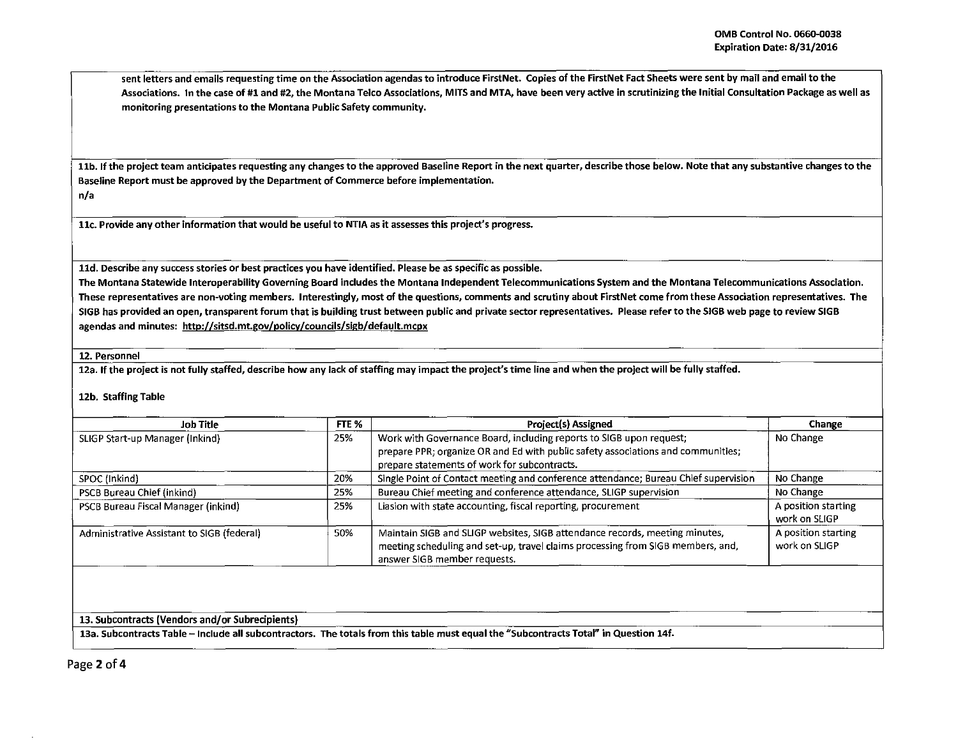sent letters and emails requesting time on the Association agendas to introduce FirstNet. Copies of the FirstNet Fact Sheets were sent by mail and email to the Associations. In the case of #1 and #2, the Montana Telco Associations, MITS and MTA, have been very active in scrutinizing the Initial Consultation Package as well as monitoring presentations to the Montana Public Safety community.

11b. If the project team anticipates requesting any changes to the approved Baseline Report in the next quarter, describe those below. Note that any substantive changes to the Baseline Report must be approved by the Department of Commerce before implementation. n/a

llc. Provide any other information that would be useful to NTIA as it assesses this project's progress.

lld. Describe any success stories or best practices you have identified. Please be as specific as possible.

The Montana Statewide lnteroperability Governing Board includes the Montana Independent Telecommunications System and the Montana Telecommunications Association. These representatives are non-voting members. Interestingly, most of the questions, comments and scrutiny about FirstNet come from these Association representatives. The SIGB has provided an open, transparent forum that is building trust between public and private sector representatives. Please refer to the 51GB web page to review SIGB agendas and minutes: http://sitsd.mt.gov/policy/councils/sigb/default.mcpx

12. Personnel

12a. If the project is not fully staffed, describe how any lack of staffing may impact the project's time line and when the project will be fully staffed.

12b. Staffing Table

| FTE %<br>Job Title                         |     | Project(s) Assigned                                                                                                                                                                                     | Change                               |
|--------------------------------------------|-----|---------------------------------------------------------------------------------------------------------------------------------------------------------------------------------------------------------|--------------------------------------|
| SLIGP Start-up Manager (Inkind)            | 25% | Work with Governance Board, including reports to SIGB upon request;<br>prepare PPR; organize OR and Ed with public safety associations and communities;<br>prepare statements of work for subcontracts. | No Change                            |
| SPOC (Inkind)                              | 20% | Single Point of Contact meeting and conference attendance; Bureau Chief supervision                                                                                                                     | No Change                            |
| PSCB Bureau Chief (inkind)                 | 25% | Bureau Chief meeting and conference attendance, SLIGP supervision                                                                                                                                       | No Change                            |
| PSCB Bureau Fiscal Manager (inkind)        | 25% | Liasion with state accounting, fiscal reporting, procurement                                                                                                                                            | A position starting<br>work on SLIGP |
| Administrative Assistant to SIGB (federal) | 50% | Maintain SIGB and SLIGP websites, SIGB attendance records, meeting minutes,<br>meeting scheduling and set-up, travel claims processing from SIGB members, and,<br>answer SIGB member requests.          | A position starting<br>work on SLIGP |
|                                            |     |                                                                                                                                                                                                         |                                      |

--~

13. Subcontracts (Vendors and/or Subrecipients)

13a. Subcontracts Table - Include all subcontractors. The totals from this table must equal the "Subcontracts Total" in Question 14f.

Page 2 of 4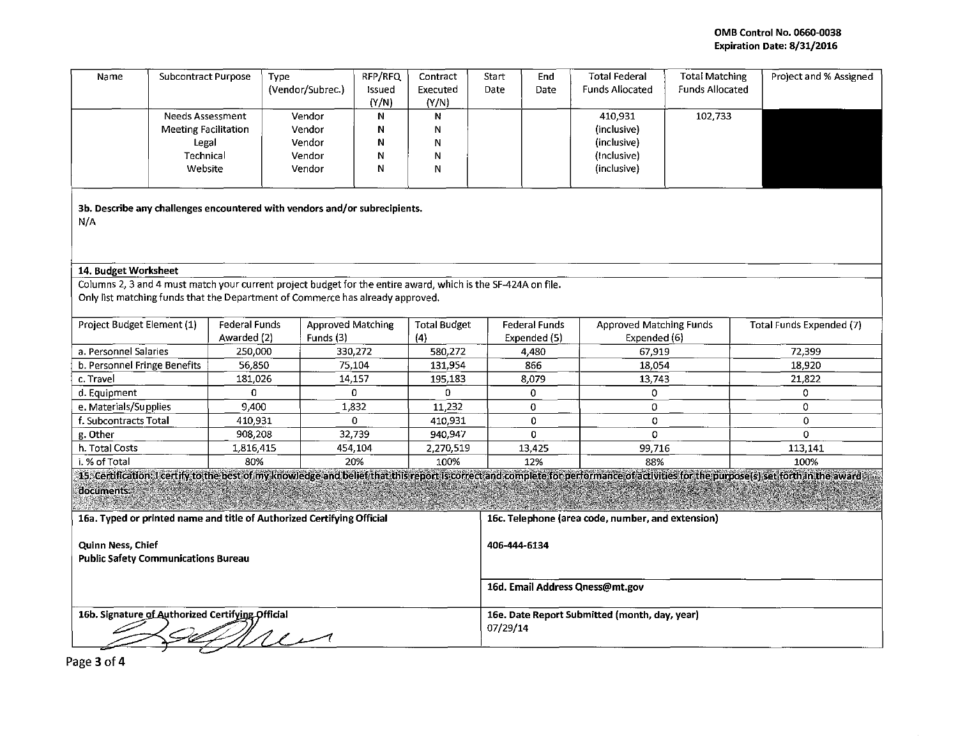## OMB Control No. 0660.0038 Expiration Date: 8/31/2016

| Name                                                                              | <b>Subcontract Purpose</b>             |                      | <b>Type</b><br>(Vendor/Subrec.)                                                                               | RFP/RFQ<br>Issued<br>(Y/N) | Contract<br>Executed<br>(Y/N)   | Start<br>Date                                             | End<br>Date                                       | <b>Total Federal</b><br><b>Funds Allocated</b> | <b>Total Matching</b><br><b>Funds Allocated</b> | Project and % Assigned                                                                                                                                                                |  |
|-----------------------------------------------------------------------------------|----------------------------------------|----------------------|---------------------------------------------------------------------------------------------------------------|----------------------------|---------------------------------|-----------------------------------------------------------|---------------------------------------------------|------------------------------------------------|-------------------------------------------------|---------------------------------------------------------------------------------------------------------------------------------------------------------------------------------------|--|
|                                                                                   | Needs Assessment                       |                      | Vendor                                                                                                        | Ν                          | Ν                               |                                                           |                                                   | 410,931                                        | 102,733                                         |                                                                                                                                                                                       |  |
| <b>Meeting Facilitation</b>                                                       |                                        |                      | Vendor<br>Vendor                                                                                              | Ν<br>Ν                     | N<br>N                          |                                                           |                                                   | (inclusive)<br>(inclusive)                     |                                                 |                                                                                                                                                                                       |  |
|                                                                                   | Legal<br>Technical                     |                      | Vendor                                                                                                        | Ν                          | N                               |                                                           |                                                   | (Inclusive)                                    |                                                 |                                                                                                                                                                                       |  |
| Website                                                                           |                                        |                      | Vendor                                                                                                        | N                          | N                               |                                                           |                                                   | (inclusive)                                    |                                                 |                                                                                                                                                                                       |  |
|                                                                                   |                                        |                      |                                                                                                               |                            |                                 |                                                           |                                                   |                                                |                                                 |                                                                                                                                                                                       |  |
| 3b. Describe any challenges encountered with vendors and/or subrecipients.<br>N/A |                                        |                      |                                                                                                               |                            |                                 |                                                           |                                                   |                                                |                                                 |                                                                                                                                                                                       |  |
| 14. Budget Worksheet                                                              |                                        |                      |                                                                                                               |                            |                                 |                                                           |                                                   |                                                |                                                 |                                                                                                                                                                                       |  |
|                                                                                   |                                        |                      | Columns 2, 3 and 4 must match your current project budget for the entire award, which is the SF-424A on file. |                            |                                 |                                                           |                                                   |                                                |                                                 |                                                                                                                                                                                       |  |
| Only list matching funds that the Department of Commerce has already approved.    |                                        |                      |                                                                                                               |                            |                                 |                                                           |                                                   |                                                |                                                 |                                                                                                                                                                                       |  |
| Project Budget Element (1)                                                        |                                        | <b>Federal Funds</b> | <b>Approved Matching</b>                                                                                      |                            | <b>Total Budget</b>             |                                                           | <b>Federal Funds</b>                              | <b>Approved Matching Funds</b>                 |                                                 | Total Funds Expended (7)                                                                                                                                                              |  |
|                                                                                   |                                        | Awarded (2)          | Funds (3)                                                                                                     |                            | (4)                             |                                                           | Expended (5)                                      | Expended (6)                                   |                                                 |                                                                                                                                                                                       |  |
|                                                                                   | a. Personnel Salaries<br>250,000       |                      | 330,272                                                                                                       |                            | 580,272                         |                                                           | 4,480                                             | 67,919                                         |                                                 | 72,399                                                                                                                                                                                |  |
|                                                                                   | 56,850<br>b. Personnel Fringe Benefits |                      |                                                                                                               | 75,104                     | 131,954                         |                                                           | 866                                               | 18,054                                         |                                                 | 18,920                                                                                                                                                                                |  |
| c. Travel                                                                         | 181,026                                |                      | 14,157                                                                                                        | 0                          | 195,183<br>$\Omega$             |                                                           | 8,079<br>0                                        | 13,743<br>0                                    |                                                 | 21,822<br>0                                                                                                                                                                           |  |
| d. Equipment<br>0<br>e. Materials/Supplies<br>9,400                               |                                        | 1,832                |                                                                                                               | 11,232                     |                                 | 0                                                         | 0                                                 |                                                | $\mathbf 0$                                     |                                                                                                                                                                                       |  |
| f. Subcontracts Total                                                             |                                        | 410,931              |                                                                                                               | 0                          | 410.931                         |                                                           | $\mathbf 0$                                       | 0                                              |                                                 | $\Omega$                                                                                                                                                                              |  |
| g. Other<br>908,208                                                               |                                        | 32,739               |                                                                                                               | 940,947                    |                                 | $\mathbf 0$                                               | Ō                                                 |                                                | $\Omega$                                        |                                                                                                                                                                                       |  |
| h. Total Costs<br>1,816,415                                                       |                                        |                      | 454,104                                                                                                       | 2,270,519                  |                                 | 13,425                                                    | 99,716                                            |                                                | 113,141                                         |                                                                                                                                                                                       |  |
| i. % of Total                                                                     | 80%                                    |                      |                                                                                                               | 20%                        | 100%                            |                                                           | 12%                                               | 88%                                            |                                                 | 100%                                                                                                                                                                                  |  |
|                                                                                   |                                        |                      |                                                                                                               |                            |                                 |                                                           |                                                   |                                                |                                                 | 15. Certification: I certify to the best of my knowledge and belief that this report is correct and complete for performance of activities for the purpose(s) set forth in the award. |  |
| documents.                                                                        |                                        |                      |                                                                                                               |                            |                                 |                                                           |                                                   |                                                |                                                 |                                                                                                                                                                                       |  |
|                                                                                   |                                        |                      |                                                                                                               |                            |                                 |                                                           |                                                   |                                                |                                                 |                                                                                                                                                                                       |  |
| 16a. Typed or printed name and title of Authorized Certifying Official            |                                        |                      |                                                                                                               |                            |                                 |                                                           | 16c. Telephone (area code, number, and extension) |                                                |                                                 |                                                                                                                                                                                       |  |
|                                                                                   |                                        |                      |                                                                                                               |                            |                                 |                                                           |                                                   |                                                |                                                 |                                                                                                                                                                                       |  |
| Quinn Ness, Chief                                                                 |                                        |                      |                                                                                                               |                            | 406-444-6134                    |                                                           |                                                   |                                                |                                                 |                                                                                                                                                                                       |  |
| <b>Public Safety Communications Bureau</b>                                        |                                        |                      |                                                                                                               |                            |                                 |                                                           |                                                   |                                                |                                                 |                                                                                                                                                                                       |  |
|                                                                                   |                                        |                      |                                                                                                               |                            |                                 |                                                           |                                                   |                                                |                                                 |                                                                                                                                                                                       |  |
|                                                                                   |                                        |                      |                                                                                                               |                            | 16d. Email Address Qness@mt.gov |                                                           |                                                   |                                                |                                                 |                                                                                                                                                                                       |  |
| 16b. Signature of Authorized Certifying Official<br>$u \wedge$                    |                                        |                      |                                                                                                               |                            |                                 | 16e. Date Report Submitted (month, day, year)<br>07/29/14 |                                                   |                                                |                                                 |                                                                                                                                                                                       |  |

Page 3 of 4